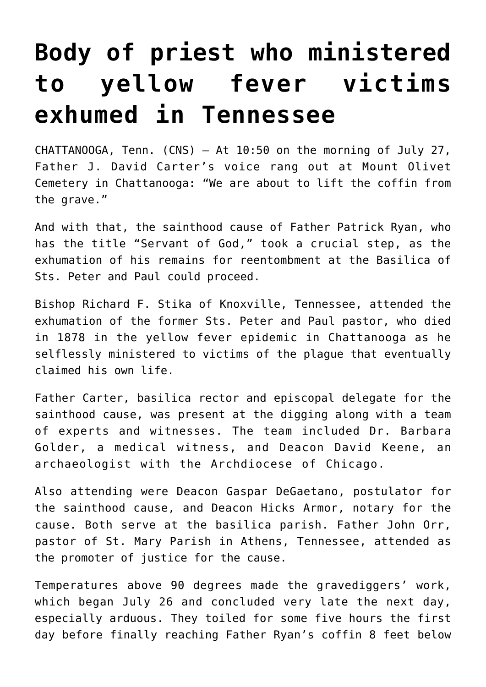## **[Body of priest who ministered](https://www.osvnews.com/2021/08/11/body-of-priest-who-ministered-to-yellow-fever-victims-exhumed-in-tennessee/) [to yellow fever victims](https://www.osvnews.com/2021/08/11/body-of-priest-who-ministered-to-yellow-fever-victims-exhumed-in-tennessee/) [exhumed in Tennessee](https://www.osvnews.com/2021/08/11/body-of-priest-who-ministered-to-yellow-fever-victims-exhumed-in-tennessee/)**

CHATTANOOGA, Tenn. (CNS) — At 10:50 on the morning of July 27, Father J. David Carter's voice rang out at Mount Olivet Cemetery in Chattanooga: "We are about to lift the coffin from the grave."

And with that, the sainthood cause of Father Patrick Ryan, who has the title "Servant of God," took a crucial step, as the exhumation of his remains for reentombment at the Basilica of Sts. Peter and Paul could proceed.

Bishop Richard F. Stika of Knoxville, Tennessee, attended the exhumation of the former Sts. Peter and Paul pastor, who died in 1878 in the yellow fever epidemic in Chattanooga as he selflessly ministered to victims of the plague that eventually claimed his own life.

Father Carter, basilica rector and episcopal delegate for the sainthood cause, was present at the digging along with a team of experts and witnesses. The team included Dr. Barbara Golder, a medical witness, and Deacon David Keene, an archaeologist with the Archdiocese of Chicago.

Also attending were Deacon Gaspar DeGaetano, postulator for the sainthood cause, and Deacon Hicks Armor, notary for the cause. Both serve at the basilica parish. Father John Orr, pastor of St. Mary Parish in Athens, Tennessee, attended as the promoter of justice for the cause.

Temperatures above 90 degrees made the gravediggers' work, which began July 26 and concluded very late the next day, especially arduous. They toiled for some five hours the first day before finally reaching Father Ryan's coffin 8 feet below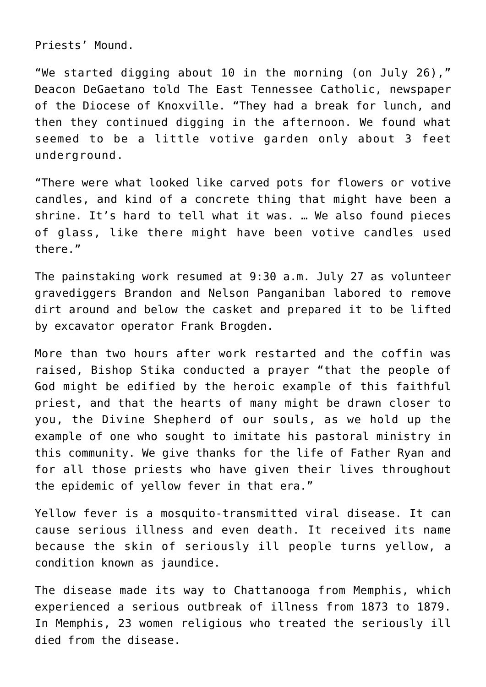Priests' Mound.

"We started digging about 10 in the morning (on July 26)," Deacon DeGaetano told The East Tennessee Catholic, newspaper of the Diocese of Knoxville. "They had a break for lunch, and then they continued digging in the afternoon. We found what seemed to be a little votive garden only about 3 feet underground.

"There were what looked like carved pots for flowers or votive candles, and kind of a concrete thing that might have been a shrine. It's hard to tell what it was. … We also found pieces of glass, like there might have been votive candles used there."

The painstaking work resumed at 9:30 a.m. July 27 as volunteer gravediggers Brandon and Nelson Panganiban labored to remove dirt around and below the casket and prepared it to be lifted by excavator operator Frank Brogden.

More than two hours after work restarted and the coffin was raised, Bishop Stika conducted a prayer "that the people of God might be edified by the heroic example of this faithful priest, and that the hearts of many might be drawn closer to you, the Divine Shepherd of our souls, as we hold up the example of one who sought to imitate his pastoral ministry in this community. We give thanks for the life of Father Ryan and for all those priests who have given their lives throughout the epidemic of yellow fever in that era."

Yellow fever is a mosquito-transmitted viral disease. It can cause serious illness and even death. It received its name because the skin of seriously ill people turns yellow, a condition known as jaundice.

The disease made its way to Chattanooga from Memphis, which experienced a serious outbreak of illness from 1873 to 1879. In Memphis, 23 women religious who treated the seriously ill died from the disease.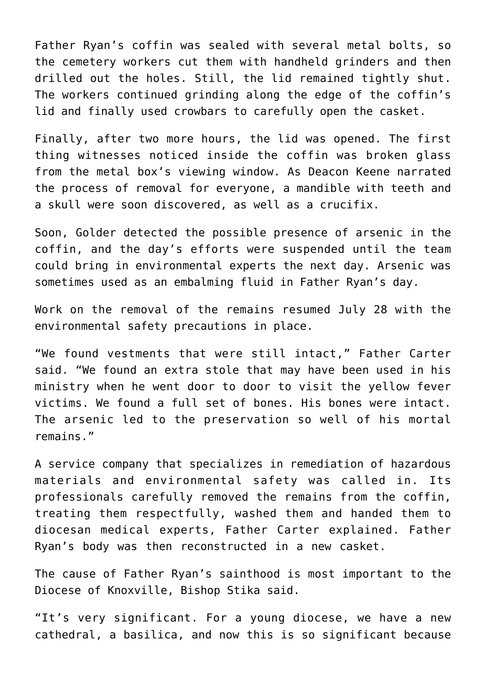Father Ryan's coffin was sealed with several metal bolts, so the cemetery workers cut them with handheld grinders and then drilled out the holes. Still, the lid remained tightly shut. The workers continued grinding along the edge of the coffin's lid and finally used crowbars to carefully open the casket.

Finally, after two more hours, the lid was opened. The first thing witnesses noticed inside the coffin was broken glass from the metal box's viewing window. As Deacon Keene narrated the process of removal for everyone, a mandible with teeth and a skull were soon discovered, as well as a crucifix.

Soon, Golder detected the possible presence of arsenic in the coffin, and the day's efforts were suspended until the team could bring in environmental experts the next day. Arsenic was sometimes used as an embalming fluid in Father Ryan's day.

Work on the removal of the remains resumed July 28 with the environmental safety precautions in place.

"We found vestments that were still intact," Father Carter said. "We found an extra stole that may have been used in his ministry when he went door to door to visit the yellow fever victims. We found a full set of bones. His bones were intact. The arsenic led to the preservation so well of his mortal remains."

A service company that specializes in remediation of hazardous materials and environmental safety was called in. Its professionals carefully removed the remains from the coffin, treating them respectfully, washed them and handed them to diocesan medical experts, Father Carter explained. Father Ryan's body was then reconstructed in a new casket.

The cause of Father Ryan's sainthood is most important to the Diocese of Knoxville, Bishop Stika said.

"It's very significant. For a young diocese, we have a new cathedral, a basilica, and now this is so significant because